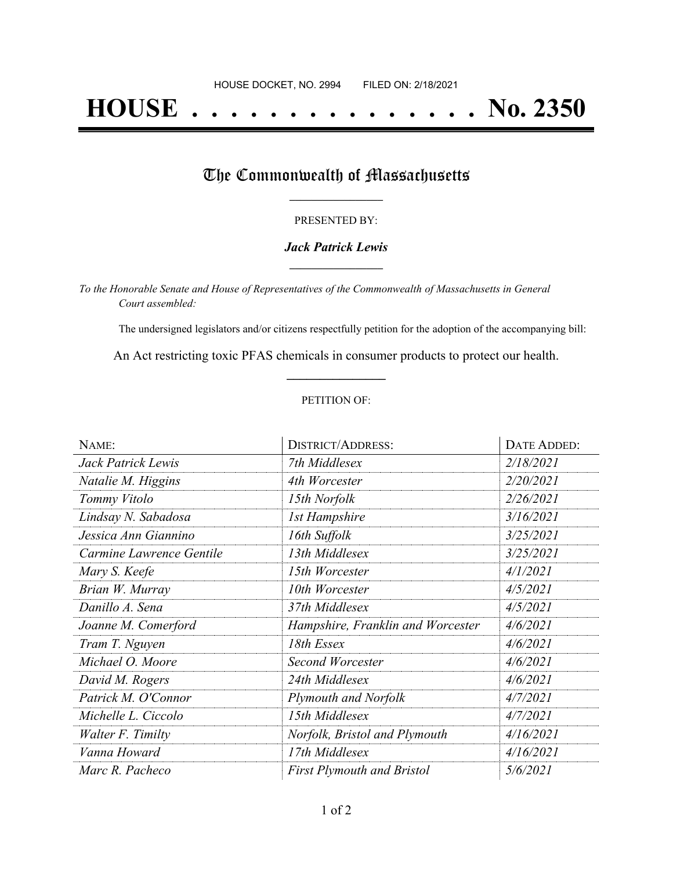# **HOUSE . . . . . . . . . . . . . . . No. 2350**

## The Commonwealth of Massachusetts

#### PRESENTED BY:

#### *Jack Patrick Lewis* **\_\_\_\_\_\_\_\_\_\_\_\_\_\_\_\_\_**

*To the Honorable Senate and House of Representatives of the Commonwealth of Massachusetts in General Court assembled:*

The undersigned legislators and/or citizens respectfully petition for the adoption of the accompanying bill:

An Act restricting toxic PFAS chemicals in consumer products to protect our health. **\_\_\_\_\_\_\_\_\_\_\_\_\_\_\_**

#### PETITION OF:

| NAME:                    | <b>DISTRICT/ADDRESS:</b>          | DATE ADDED: |  |
|--------------------------|-----------------------------------|-------------|--|
| Jack Patrick Lewis       | 7th Middlesex                     | 2/18/2021   |  |
| Natalie M. Higgins       | 4th Worcester                     | 2/20/2021   |  |
| Tommy Vitolo             | 15th Norfolk                      | 2/26/2021   |  |
| Lindsay N. Sabadosa      | <b>1st Hampshire</b>              | 3/16/2021   |  |
| Jessica Ann Giannino     | 16th Suffolk                      | 3/25/2021   |  |
| Carmine Lawrence Gentile | 13th Middlesex                    | 3/25/2021   |  |
| Mary S. Keefe            | 15th Worcester                    | 4/1/2021    |  |
| Brian W. Murray          | 10th Worcester                    | 4/5/2021    |  |
| Danillo A. Sena          | 37th Middlesex                    | 4/5/2021    |  |
| Joanne M. Comerford      | Hampshire, Franklin and Worcester | 4/6/2021    |  |
| Tram T. Nguyen           | 18th Essex                        | 4/6/2021    |  |
| Michael O. Moore         | Second Worcester                  | 4/6/2021    |  |
| David M. Rogers          | 24th Middlesex                    | 4/6/2021    |  |
| Patrick M. O'Connor      | Plymouth and Norfolk              | 4/7/2021    |  |
| Michelle L. Ciccolo      | 15th Middlesex                    | 4/7/2021    |  |
| Walter F. Timilty        | Norfolk, Bristol and Plymouth     | 4/16/2021   |  |
| Vanna Howard             | 17th Middlesex                    | 4/16/2021   |  |
| Marc R. Pacheco          | <b>First Plymouth and Bristol</b> | 5/6/2021    |  |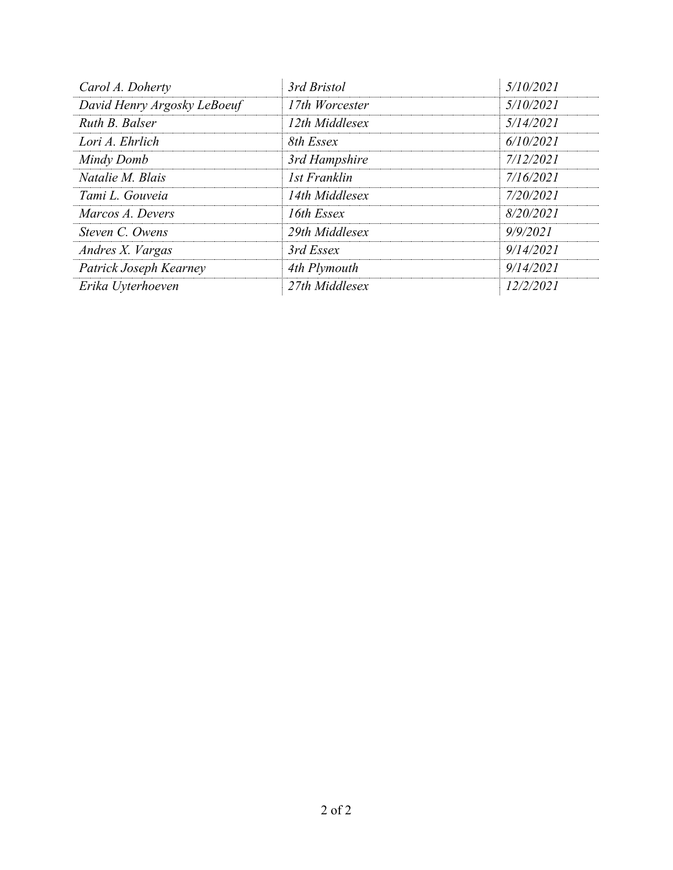| Carol A. Doherty            | 3rd Bristol    | 5/10/2021 |  |
|-----------------------------|----------------|-----------|--|
| David Henry Argosky LeBoeuf | 17th Worcester | 5/10/2021 |  |
| Ruth B. Balser              | 12th Middlesex | 5/14/2021 |  |
| Lori A. Ehrlich             | 8th Essex      | 6/10/2021 |  |
| Mindy Domb                  | 3rd Hampshire  | 7/12/2021 |  |
| Natalie M. Blais            | 1st Franklin   | 7/16/2021 |  |
| Tami L. Gouveia             | 14th Middlesex | 7/20/2021 |  |
| Marcos A. Devers            | 16th Essex     | 8/20/2021 |  |
| Steven C. Owens             | 29th Middlesex | 9/9/2021  |  |
| Andres X. Vargas            | 3rd Essex      | 9/14/2021 |  |
| Patrick Joseph Kearney      | 4th Plymouth   | 9/14/2021 |  |
| Erika Uyterhoeven           | 27th Middlesex | 12/2/2021 |  |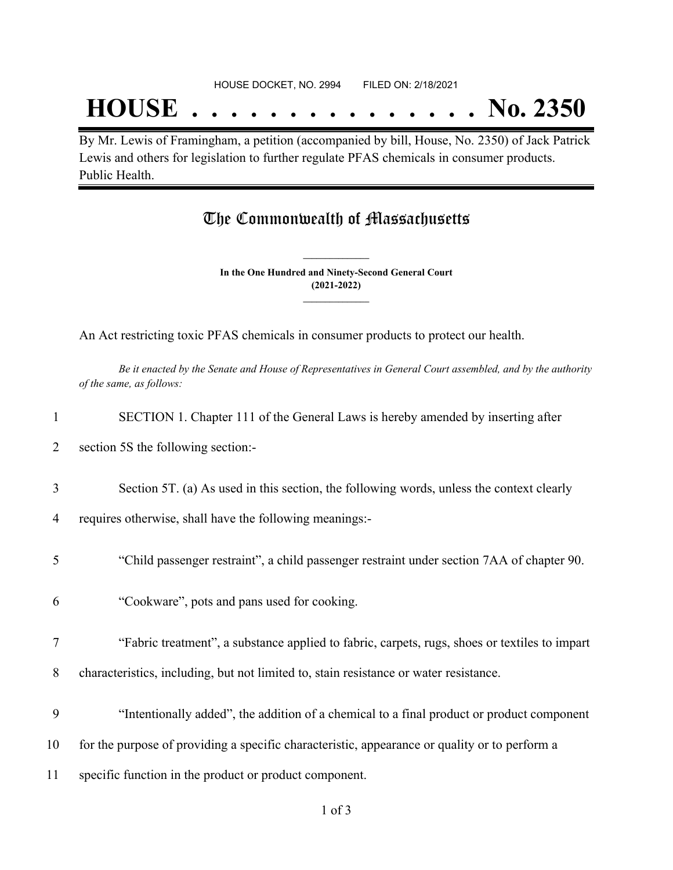## **HOUSE . . . . . . . . . . . . . . . No. 2350**

By Mr. Lewis of Framingham, a petition (accompanied by bill, House, No. 2350) of Jack Patrick Lewis and others for legislation to further regulate PFAS chemicals in consumer products. Public Health.

### The Commonwealth of Massachusetts

**In the One Hundred and Ninety-Second General Court (2021-2022) \_\_\_\_\_\_\_\_\_\_\_\_\_\_\_**

**\_\_\_\_\_\_\_\_\_\_\_\_\_\_\_**

An Act restricting toxic PFAS chemicals in consumer products to protect our health.

Be it enacted by the Senate and House of Representatives in General Court assembled, and by the authority *of the same, as follows:*

| 1      | SECTION 1. Chapter 111 of the General Laws is hereby amended by inserting after                                                                     |
|--------|-----------------------------------------------------------------------------------------------------------------------------------------------------|
| 2      | section 5S the following section:-                                                                                                                  |
| 3<br>4 | Section 5T. (a) As used in this section, the following words, unless the context clearly<br>requires otherwise, shall have the following meanings:- |
| 5      | "Child passenger restraint", a child passenger restraint under section 7AA of chapter 90.                                                           |
| 6      | "Cookware", pots and pans used for cooking.                                                                                                         |
| 7      | "Fabric treatment", a substance applied to fabric, carpets, rugs, shoes or textiles to impart                                                       |
| 8      | characteristics, including, but not limited to, stain resistance or water resistance.                                                               |
| 9      | "Intentionally added", the addition of a chemical to a final product or product component                                                           |
| 10     | for the purpose of providing a specific characteristic, appearance or quality or to perform a                                                       |
| 11     | specific function in the product or product component.                                                                                              |
|        |                                                                                                                                                     |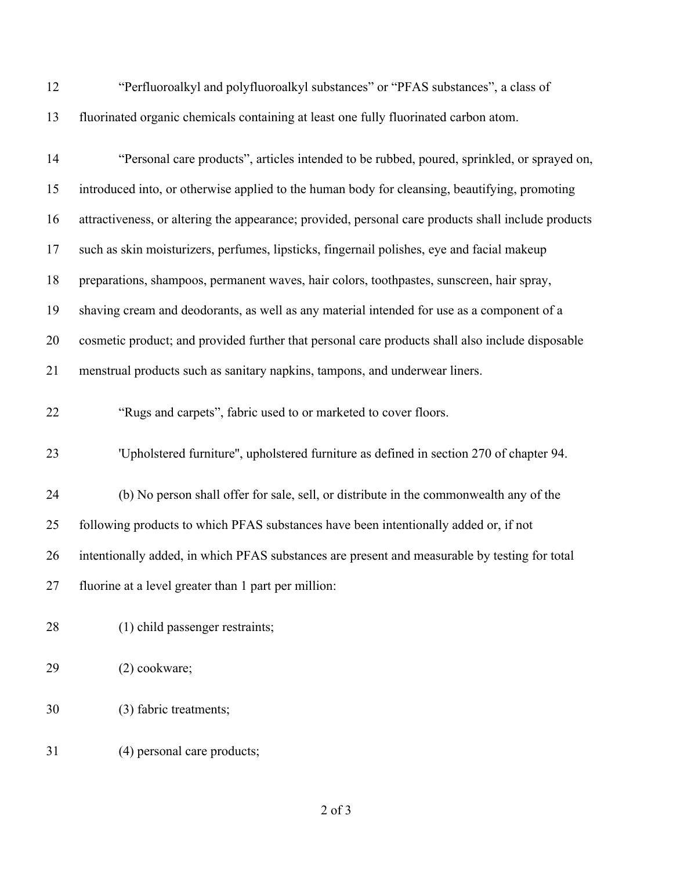"Perfluoroalkyl and polyfluoroalkyl substances" or "PFAS substances", a class of fluorinated organic chemicals containing at least one fully fluorinated carbon atom.

| 14 | "Personal care products", articles intended to be rubbed, poured, sprinkled, or sprayed on,         |
|----|-----------------------------------------------------------------------------------------------------|
| 15 | introduced into, or otherwise applied to the human body for cleansing, beautifying, promoting       |
| 16 | attractiveness, or altering the appearance; provided, personal care products shall include products |
| 17 | such as skin moisturizers, perfumes, lipsticks, fingernail polishes, eye and facial makeup          |
| 18 | preparations, shampoos, permanent waves, hair colors, toothpastes, sunscreen, hair spray,           |
| 19 | shaving cream and deodorants, as well as any material intended for use as a component of a          |
| 20 | cosmetic product; and provided further that personal care products shall also include disposable    |
| 21 | menstrual products such as sanitary napkins, tampons, and underwear liners.                         |
| 22 | "Rugs and carpets", fabric used to or marketed to cover floors.                                     |
| 23 | 'Upholstered furniture", upholstered furniture as defined in section 270 of chapter 94.             |
| 24 | (b) No person shall offer for sale, sell, or distribute in the commonwealth any of the              |
| 25 | following products to which PFAS substances have been intentionally added or, if not                |
| 26 | intentionally added, in which PFAS substances are present and measurable by testing for total       |
| 27 | fluorine at a level greater than 1 part per million:                                                |
| 28 | (1) child passenger restraints;                                                                     |
| 29 | (2) cookware;                                                                                       |
| 30 | (3) fabric treatments;                                                                              |
| 31 | (4) personal care products;                                                                         |

of 3